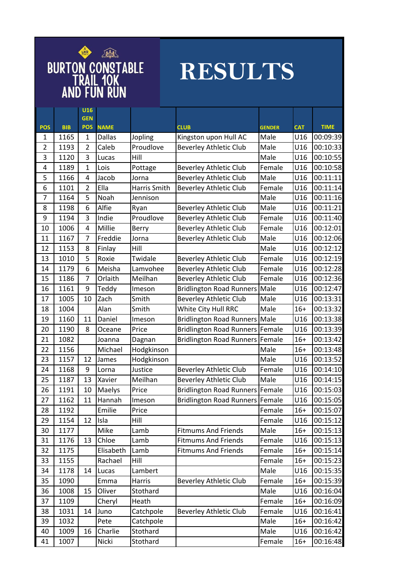

## **RESULTS**

|                 |                    | <b>U16</b>               |                              |              |                                      |                       |                   |             |
|-----------------|--------------------|--------------------------|------------------------------|--------------|--------------------------------------|-----------------------|-------------------|-------------|
|                 |                    | <b>GEN</b><br><b>POS</b> |                              |              |                                      |                       |                   | <b>TIME</b> |
| <b>POS</b><br>1 | <b>BIB</b><br>1165 | $\mathbf{1}$             | <b>NAME</b><br><b>Dallas</b> | Jopling      | <b>CLUB</b><br>Kingston upon Hull AC | <b>GENDER</b><br>Male | <b>CAT</b><br>U16 | 00:09:39    |
| $\overline{2}$  | 1193               | $\overline{2}$           | Caleb                        | Proudlove    | <b>Beverley Athletic Club</b>        | Male                  | U16               | 00:10:33    |
| 3               | 1120               | 3                        | Lucas                        | Hill         |                                      | Male                  | U16               | 00:10:55    |
| 4               | 1189               | 1                        | Lois                         | Pottage      | <b>Beverley Athletic Club</b>        | Female                | U16               | 00:10:58    |
| 5               | 1166               | 4                        | Jacob                        | Jorna        | <b>Beverley Athletic Club</b>        | Male                  | U16               | 00:11:11    |
| 6               | 1101               | $\overline{2}$           | Ella                         | Harris Smith | <b>Beverley Athletic Club</b>        | Female                | U16               | 00:11:14    |
| 7               | 1164               | 5                        | Noah                         | Jennison     |                                      | Male                  | U16               | 00:11:16    |
| 8               | 1198               | 6                        | Alfie                        | Ryan         | <b>Beverley Athletic Club</b>        | Male                  | U16               | 00:11:21    |
| 9               | 1194               | 3                        | Indie                        | Proudlove    | <b>Beverley Athletic Club</b>        | Female                | U16               | 00:11:40    |
| 10              | 1006               | 4                        | Millie                       | Berry        | <b>Beverley Athletic Club</b>        | Female                | U16               | 00:12:01    |
| 11              | 1167               | 7                        | Freddie                      | Jorna        | <b>Beverley Athletic Club</b>        | Male                  | U16               | 00:12:06    |
| 12              | 1153               | 8                        | Finlay                       | Hill         |                                      | Male                  | U16               | 00:12:12    |
| 13              | 1010               | 5                        | Roxie                        | Twidale      | <b>Beverley Athletic Club</b>        | Female                | U16               | 00:12:19    |
| 14              | 1179               | 6                        | Meisha                       | Lamvohee     | <b>Beverley Athletic Club</b>        | Female                | U16               | 00:12:28    |
| 15              | 1186               | $\overline{7}$           | Orlaith                      | Meilhan      | <b>Beverley Athletic Club</b>        | Female                | U16               | 00:12:36    |
| 16              | 1161               | 9                        | Teddy                        | Imeson       | <b>Bridlington Road Runners</b>      | Male                  | U16               | 00:12:47    |
| 17              | 1005               | 10                       | Zach                         | Smith        | <b>Beverley Athletic Club</b>        | Male                  | U16               | 00:13:31    |
| 18              | 1004               |                          | Alan                         | Smith        | White City Hull RRC                  | Male                  | $16+$             | 00:13:32    |
| 19              | 1160               | 11                       | Daniel                       | Imeson       | <b>Bridlington Road Runners Male</b> |                       | U16               | 00:13:38    |
| 20              | 1190               | 8                        | Oceane                       | Price        | Bridlington Road Runners             | Female                | U16               | 00:13:39    |
| 21              | 1082               |                          | Joanna                       | Dagnan       | <b>Bridlington Road Runners</b>      | Female                | $16+$             | 00:13:42    |
| 22              | 1156               |                          | Michael                      | Hodgkinson   |                                      | Male                  | $16+$             | 00:13:48    |
| 23              | 1157               | 12                       | James                        | Hodgkinson   |                                      | Male                  | U16               | 00:13:52    |
| 24              | 1168               | 9                        | Lorna                        | Justice      | <b>Beverley Athletic Club</b>        | Female                | U16               | 00:14:10    |
| 25              | 1187               | 13                       | Xavier                       | Meilhan      | <b>Beverley Athletic Club</b>        | Male                  | U16               | 00:14:15    |
| 26              | 1191               | 10                       | Maelys                       | Price        | <b>Bridlington Road Runners</b>      | Female                | U16               | 00:15:03    |
| 27              | 1162               | 11                       | Hannah                       | Imeson       | <b>Bridlington Road Runners</b>      | Female                | U16               | 00:15:05    |
| 28              | 1192               |                          | Emilie                       | Price        |                                      | Female                | $16+$             | 00:15:07    |
| 29              | 1154               | 12                       | Isla                         | Hill         |                                      | Female                | U16               | 00:15:12    |
| 30              | 1177               |                          | Mike                         | Lamb         | <b>Fitmums And Friends</b>           | Male                  | $16+$             | 00:15:13    |
| 31              | 1176               | 13                       | Chloe                        | Lamb         | <b>Fitmums And Friends</b>           | Female                | U16               | 00:15:13    |
| 32              | 1175               |                          | Elisabeth                    | Lamb         | <b>Fitmums And Friends</b>           | Female                | $16+$             | 00:15:14    |
| 33              | 1155               |                          | Rachael                      | Hill         |                                      | Female                | $16+$             | 00:15:23    |
| 34              | 1178               | 14                       | Lucas                        | Lambert      |                                      | Male                  | U16               | 00:15:35    |
| 35              | 1090               |                          | Emma                         | Harris       | <b>Beverley Athletic Club</b>        | Female                | $16+$             | 00:15:39    |
| 36              | 1008               | 15                       | Oliver                       | Stothard     |                                      | Male                  | U16               | 00:16:04    |
| 37              | 1109               |                          | Cheryl                       | Heath        |                                      | Female                | $16+$             | 00:16:09    |
| 38              | 1031               | 14                       | Juno                         | Catchpole    | <b>Beverley Athletic Club</b>        | Female                | U16               | 00:16:41    |
| 39              | 1032               |                          | Pete                         | Catchpole    |                                      | Male                  | $16+$             | 00:16:42    |
| 40              | 1009               | 16                       | Charlie                      | Stothard     |                                      | Male                  | U16               | 00:16:42    |
| 41              | 1007               |                          | Nicki                        | Stothard     |                                      | Female                | $16+$             | 00:16:48    |